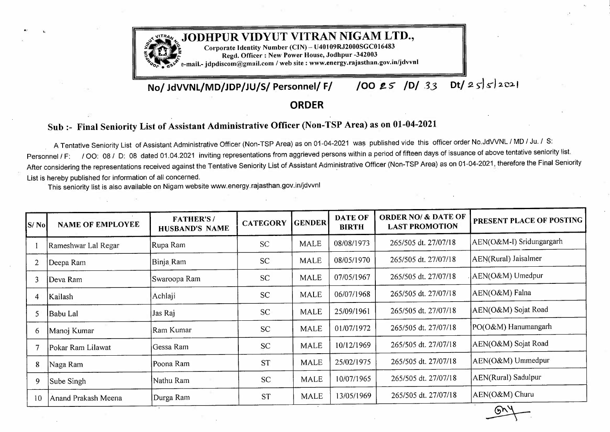

## **ORDER**

## **Sub:- Final Seniority List of Assistant Administrative Officer (Non-TSP Area) as on 01-04-2021**

A Tentative Seniority List of Assistant Adrninistrative Officer (Non-TSP Area) as on 01-04-2021 was published vide this officer order No.JdWNL /MD/ Ju./ S: Personnel / F: / OO: 08 / D: 08 dated 01.04.2021 inviting representations from aggrieved persons within a period of fifteen days of issuance of above tentative seniority list. After considering the representations received against the Tentative Seniority List of Assistant Administrative Officer (Non-TSP Area) as on 01-04-2021, therefore the Final Seniority List is hereby published for information of all concerned.

This seniority list is also available on Nigam website www.energy.rajasthan.gov.in/jdvvnl

| $ S/N_0 $ | <b>NAME OF EMPLOYEE</b> | <b>FATHER'S/</b><br><b>HUSBAND'S NAME</b> | <b>CATEGORY</b> | <b>GENDER</b> | <b>DATE OF</b><br><b>BIRTH</b> | <b>ORDER NO/ &amp; DATE OF</b><br><b>LAST PROMOTION</b> | <b>PRESENT PLACE OF POSTING</b> |
|-----------|-------------------------|-------------------------------------------|-----------------|---------------|--------------------------------|---------------------------------------------------------|---------------------------------|
|           | Rameshwar Lal Regar     | Rupa Ram                                  | <b>SC</b>       | <b>MALE</b>   | 08/08/1973                     | 265/505 dt. 27/07/18                                    | AEN(O&M-I) Sridungargarh        |
|           | Deepa Ram               | Binja Ram                                 | <b>SC</b>       | <b>MALE</b>   | 08/05/1970                     | 265/505 dt. 27/07/18                                    | AEN(Rural) Jaisalmer            |
| 3         | Deva Ram                | Swaroopa Ram                              | <b>SC</b>       | <b>MALE</b>   | 07/05/1967                     | 265/505 dt. 27/07/18                                    | AEN(O&M) Umedpur                |
| 4         | Kailash                 | Achlaji                                   | <b>SC</b>       | <b>MALE</b>   | 06/07/1968                     | 265/505 dt. 27/07/18                                    | AEN(O&M) Falna                  |
| 5         | Babu Lal                | Jas Raj                                   | SC              | <b>MALE</b>   | 25/09/1961                     | 265/505 dt. 27/07/18                                    | AEN(O&M) Sojat Road             |
| 6         | Manoj Kumar             | Ram Kumar                                 | <b>SC</b>       | <b>MALE</b>   | 01/07/1972                     | 265/505 dt. 27/07/18                                    | PO(O&M) Hanumangarh             |
|           | Pokar Ram Lilawat       | Gessa Ram                                 | <b>SC</b>       | MALE          | 10/12/1969                     | 265/505 dt. 27/07/18                                    | AEN(O&M) Sojat Road             |
| 8         | Naga Ram                | Poona Ram                                 | <b>ST</b>       | <b>MALE</b>   | 25/02/1975                     | 265/505 dt. 27/07/18                                    | AEN(O&M) Ummedpur               |
|           |                         | Nathu Ram                                 | <b>SC</b>       | <b>MALE</b>   | 10/07/1965                     | 265/505 dt. 27/07/18                                    | AEN(Rural) Sadulpur             |
| 10        | Anand Prakash Meena     | Durga Ram                                 | <b>ST</b>       | <b>MALE</b>   | 13/05/1969                     | 265/505 dt. 27/07/18                                    | AEN(O&M) Churu                  |
| 9         | Sube Singh              |                                           |                 |               |                                |                                                         |                                 |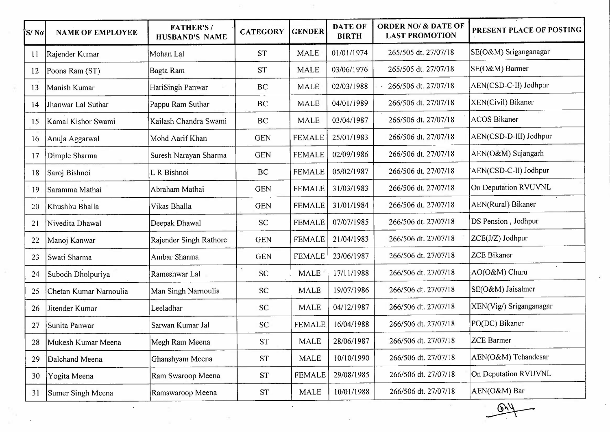| ÎS/ Nơ∣      | <b>NAME OF EMPLOYEE</b> | <b>FATHER'S/</b><br>HUSBAND'S NAME | <b>CATEGORY</b> | <b>GENDER</b> | <b>DATE OF</b><br><b>BIRTH</b> | <b>ORDER NO/ &amp; DATE OF</b><br><b>LAST PROMOTION</b> | PRESENT PLACE OF POSTING  |
|--------------|-------------------------|------------------------------------|-----------------|---------------|--------------------------------|---------------------------------------------------------|---------------------------|
| $\mathbf{1}$ | Rajender Kumar          | Mohan Lal                          | <b>ST</b>       | <b>MALE</b>   | 01/01/1974                     | 265/505 dt. 27/07/18                                    | SE(O&M) Sriganganagar     |
| 12           | Poona Ram (ST)          | Bagta Ram                          | <b>ST</b>       | <b>MALE</b>   | 03/06/1976                     | 265/505 dt. 27/07/18                                    | SE(O&M) Barmer            |
| 13           | Manish Kumar            | HariSingh Panwar                   | BC              | <b>MALE</b>   | 02/03/1988                     | 266/506 dt. 27/07/18                                    | AEN(CSD-C-II) Jodhpur     |
| 14           | Jhanwar Lal Suthar      | Pappu Ram Suthar                   | BC              | <b>MALE</b>   | 04/01/1989                     | 266/506 dt. 27/07/18                                    | XEN(Civil) Bikaner        |
| 15           | Kamal Kishor Swami      | Kailash Chandra Swami              | BC              | <b>MALE</b>   | 03/04/1987                     | 266/506 dt. 27/07/18                                    | <b>ACOS Bikaner</b>       |
| 16           | Anuja Aggarwal          | Mohd Aarif Khan                    | <b>GEN</b>      | <b>FEMALE</b> | 25/01/1983                     | 266/506 dt. 27/07/18                                    | AEN(CSD-D-III) Jodhpur    |
| 17           | Dimple Sharma           | Suresh Narayan Sharma              | <b>GEN</b>      | <b>FEMALE</b> | 02/09/1986                     | 266/506 dt. 27/07/18                                    | AEN(O&M) Sujangarh        |
| 18           | Saroj Bishnoi           | L R Bishnoi                        | BC              | <b>FEMALE</b> | 05/02/1987                     | 266/506 dt. 27/07/18                                    | AEN(CSD-C-II) Jodhpur     |
| 19           | Saramma Mathai          | Abraham Mathai                     | <b>GEN</b>      | <b>FEMALE</b> | 31/03/1983                     | 266/506 dt. 27/07/18                                    | On Deputation RVUVNL      |
| 20           | Khushbu Bhalla          | Vikas Bhalla                       | <b>GEN</b>      | <b>FEMALE</b> | 31/01/1984                     | 266/506 dt. 27/07/18                                    | <b>AEN(Rural)</b> Bikaner |
| 21           | Nivedita Dhawal         | Deepak Dhawal                      | <b>SC</b>       | <b>FEMALE</b> | 07/07/1985                     | 266/506 dt. 27/07/18                                    | DS Pension, Jodhpur       |
| 22           | Manoj Kanwar            | Rajender Singh Rathore             | <b>GEN</b>      | <b>FEMALE</b> | 21/04/1983                     | 266/506 dt. 27/07/18                                    | ZCE(J/Z) Jodhpur          |
| 23           | Swati Sharma            | Ambar Sharma                       | <b>GEN</b>      | <b>FEMALE</b> | 23/06/1987                     | 266/506 dt. 27/07/18                                    | <b>ZCE Bikaner</b>        |
| 24           | Subodh Dholpuriya       | Rameshwar Lal                      | <b>SC</b>       | <b>MALE</b>   | 17/11/1988                     | 266/506 dt. 27/07/18                                    | AO(O&M) Churu             |
| 25           | Chetan Kumar Narnoulia  | Man Singh Narnoulia                | <b>SC</b>       | MALE          | 19/07/1986                     | 266/506 dt. 27/07/18                                    | SE(O&M) Jaisalmer         |
| 26           | Jitender Kumar          | Leeladhar                          | <b>SC</b>       | <b>MALE</b>   | 04/12/1987                     | 266/506 dt. 27/07/18                                    | XEN(Vig/) Sriganganagar   |
| 27           | Sunita Panwar           | Sarwan Kumar Jal                   | <b>SC</b>       | <b>FEMALE</b> | 16/04/1988                     | 266/506 dt. 27/07/18                                    | PO(DC) Bikaner            |
|              | 28 Mukesh Kumar Meena   | Megh Ram Meena                     | <b>ST</b>       | <b>MALE</b>   | 28/06/1987                     | 266/506 dt. 27/07/18                                    | <b>ZCE Barmer</b>         |
| 29           | Dalchand Meena          | Ghanshyam Meena                    | <b>ST</b>       | <b>MALE</b>   | 10/10/1990                     | 266/506 dt. 27/07/18                                    | AEN(O&M) Tehandesar       |
| 30           | Yogita Meena            | Ram Swaroop Meena                  | <b>ST</b>       | <b>FEMALE</b> | 29/08/1985                     | 266/506 dt. 27/07/18                                    | On Deputation RVUVNL      |
| 31           | Sumer Singh Meena       | Ramswaroop Meena                   | ST              | <b>MALE</b>   | 10/01/1988                     | 266/506 dt. 27/07/18                                    | AEN(O&M) Bar              |

 $\mathcal{L}_{\mathrm{max}}$ 

 $\sim$ 

 $\frac{2}{\sqrt{3}}$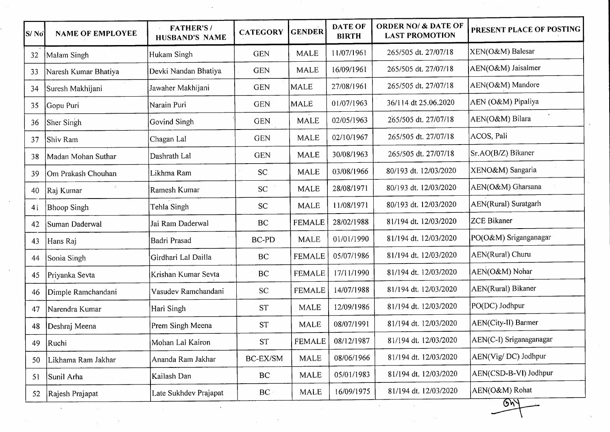| S/No           | <b>NAME OF EMPLOYEE</b> | <b>FATHER'S/</b><br>HUSBAND'S NAME | <b>CATEGORY</b> | <b>GENDER</b> | <b>DATE OF</b><br><b>BIRTH</b> | <b>ORDER NO/ &amp; DATE OF</b><br><b>LAST PROMOTION</b> | PRESENT PLACE OF POSTING   |
|----------------|-------------------------|------------------------------------|-----------------|---------------|--------------------------------|---------------------------------------------------------|----------------------------|
| 32             | Malam Singh             | Hukam Singh                        | <b>GEN</b>      | <b>MALE</b>   | 11/07/1961                     | 265/505 dt. 27/07/18                                    | XEN(O&M) Balesar           |
| 33             | Naresh Kumar Bhatiya    | Devki Nandan Bhatiya               | <b>GEN</b>      | <b>MALE</b>   | 16/09/1961                     | 265/505 dt. 27/07/18                                    | AEN(O&M) Jaisalmer         |
| 34             | Suresh Makhijani        | Jawaher Makhijani                  | <b>GEN</b>      | <b>MALE</b>   | 27/08/1961                     | 265/505 dt. 27/07/18                                    | AEN(O&M) Mandore           |
| 35             | Gopu Puri               | Narain Puri                        | <b>GEN</b>      | <b>MALE</b>   | 01/07/1963                     | 36/114 dt 25.06.2020                                    | AEN (O&M) Pipaliya         |
| 36             | Sher Singh              | Govind Singh                       | <b>GEN</b>      | <b>MALE</b>   | 02/05/1963                     | 265/505 dt. 27/07/18                                    | AEN(O&M) Bilara            |
| 37             | Shiv Ram                | Chagan Lal                         | <b>GEN</b>      | <b>MALE</b>   | 02/10/1967                     | 265/505 dt. 27/07/18                                    | ACOS, Pali                 |
| 38             | Madan Mohan Suthar      | Dashrath Lal                       | <b>GEN</b>      | <b>MALE</b>   | 30/08/1963                     | 265/505 dt. 27/07/18                                    | Sr.AO(B/Z) Bikaner         |
| 39             | Om Prakash Chouhan      | Likhma Ram                         | SC              | <b>MALE</b>   | 03/08/1966                     | 80/193 dt. 12/03/2020                                   | XENO&M) Sangaria           |
| 40             | Raj Kumar               | Ramesh Kumar                       | <b>SC</b>       | <b>MALE</b>   | 28/08/1971                     | 80/193 dt. 12/03/2020                                   | AEN(O&M) Gharsana          |
| 4 <sub>i</sub> | <b>Bhoop Singh</b>      | Tehla Singh                        | <b>SC</b>       | <b>MALE</b>   | 11/08/1971                     | 80/193 dt. 12/03/2020                                   | AEN(Rural) Suratgarh       |
| 42             | Suman Daderwal          | Jai Ram Daderwal                   | BC              | <b>FEMALE</b> | 28/02/1988                     | 81/194 dt. 12/03/2020                                   | <b>ZCE Bikaner</b>         |
| 43             | Hans Raj                | <b>Badri Prasad</b>                | <b>BC-PD</b>    | <b>MALE</b>   | 01/01/1990                     | 81/194 dt. 12/03/2020                                   | PO(O&M) Sriganganagar      |
| 44             | Sonia Singh             | Girdhari Lal Dailla                | <b>BC</b>       | <b>FEMALE</b> | 05/07/1986                     | 81/194 dt. 12/03/2020                                   | AEN(Rural) Churu           |
| 45             | Priyanka Sevta          | Krishan Kumar Sevta                | BC              | <b>FEMALE</b> | 17/11/1990                     | 81/194 dt. 12/03/2020                                   | AEN(O&M) Nohar             |
| 46             | Dimple Ramchandani      | Vasudev Ramchandani                | <b>SC</b>       | <b>FEMALE</b> | 14/07/1988                     | 81/194 dt. 12/03/2020                                   | AEN(Rural) Bikaner         |
| 47             | Narendra Kumar          | Hari Singh                         | <b>ST</b>       | MALE          | 12/09/1986                     | 81/194 dt. 12/03/2020                                   | PO(DC) Jodhpur             |
| 48             | Deshraj Meena           | Prem Singh Meena                   | <b>ST</b>       | <b>MALE</b>   | 08/07/1991                     | 81/194 dt. 12/03/2020                                   | <b>AEN(City-II) Barmer</b> |
| 49             | Ruchi                   | Mohan Lal Kairon                   | <b>ST</b>       | FEMALE        | 08/12/1987                     | 81/194 dt. 12/03/2020                                   | AEN(C-I) Sriganaganagar    |
| 50             | Likhama Ram Jakhar      | Ananda Ram Jakhar                  | BC-EX/SM        | <b>MALE</b>   | 08/06/1966                     | 81/194 dt. 12/03/2020                                   | AEN(Vig/DC) Jodhpur        |
| 51             | Sunil Arha              | Kailash Dan                        | BC              | <b>MALE</b>   | 05/01/1983                     | 81/194 dt. 12/03/2020                                   | AEN(CSD-B-VI) Jodhpur      |
| 52             | Rajesh Prajapat         | Late Sukhdev Prajapat              | BC              | <b>MALE</b>   | 16/09/1975                     | 81/194 dt. 12/03/2020                                   | AEN(O&M) Rohat             |
|                |                         |                                    |                 |               |                                |                                                         | GM                         |

 $\sim$  10

 $\mathcal{L}_{\mathrm{max}}$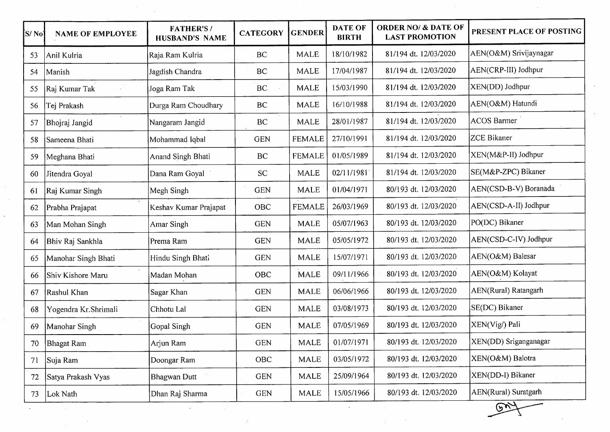| [S/No] | <b>NAME OF EMPLOYEE</b>  | <b>FATHER'S/</b><br><b>HUSBAND'S NAME</b> | <b>CATEGORY</b> | <b>GENDER</b> | <b>DATE OF</b><br><b>BIRTH</b> | <b>ORDER NO/ &amp; DATE OF</b><br><b>LAST PROMOTION</b> | PRESENT PLACE OF POSTING |
|--------|--------------------------|-------------------------------------------|-----------------|---------------|--------------------------------|---------------------------------------------------------|--------------------------|
| 53     | Anil Kulria              | Raja Ram Kulria                           | <b>BC</b>       | <b>MALE</b>   | 18/10/1982                     | 81/194 dt. 12/03/2020                                   | AEN(O&M) Srivijaynagar   |
| 54     | Manish                   | Jagdish Chandra                           | <b>BC</b>       | <b>MALE</b>   | 17/04/1987                     | 81/194 dt. 12/03/2020                                   | AEN(CRP-III) Jodhpur     |
| 55     | Raj Kumar Tak<br>$\cdot$ | Joga Ram Tak                              | BC              | <b>MALE</b>   | 15/03/1990                     | 81/194 dt. 12/03/2020                                   | XEN(DD) Jodhpur          |
| 56     | Tej Prakash              | Durga Ram Choudhary                       | BC              | <b>MALE</b>   | 16/10/1988                     | 81/194 dt. 12/03/2020                                   | AEN(O&M) Hatundi         |
| 57     | Bhojraj Jangid           | Nangaram Jangid                           | BC              | <b>MALE</b>   | 28/01/1987                     | 81/194 dt. 12/03/2020                                   | <b>ACOS Barmer</b>       |
| 58     | Sameena Bhati            | Mohammad Iqbal                            | <b>GEN</b>      | <b>FEMALE</b> | 27/10/1991                     | 81/194 dt. 12/03/2020                                   | <b>ZCE Bikaner</b>       |
| 59     | Meghana Bhati            | Anand Singh Bhati                         | BC              | <b>FEMALE</b> | 01/05/1989                     | 81/194 dt. 12/03/2020                                   | XEN(M&P-II) Jodhpur      |
| 60     | Jitendra Goyal           | Dana Ram Goyal                            | <b>SC</b>       | <b>MALE</b>   | 02/11/1981                     | 81/194 dt. 12/03/2020                                   | SE(M&P-ZPC) Bikaner      |
| 61     | Raj Kumar Singh          | Megh Singh                                | <b>GEN</b>      | <b>MALE</b>   | 01/04/1971                     | 80/193 dt. 12/03/2020                                   | AEN(CSD-B-V) Boranada    |
| 62     | Prabha Prajapat          | Keshav Kumar Prajapat                     | OBC             | <b>FEMALE</b> | 26/03/1969                     | 80/193 dt. 12/03/2020                                   | AEN(CSD-A-II) Jodhpur    |
| 63     | Man Mohan Singh          | Amar Singh                                | <b>GEN</b>      | <b>MALE</b>   | 05/07/1963                     | 80/193 dt. 12/03/2020                                   | PO(DC) Bikaner           |
| 64     | Bhiv Raj Sankhla         | Prema Ram                                 | <b>GEN</b>      | <b>MALE</b>   | 05/05/1972                     | 80/193 dt. 12/03/2020                                   | AEN(CSD-C-IV) Jodhpur    |
| 65     | Manohar Singh Bhati      | Hindu Singh Bhati                         | <b>GEN</b>      | <b>MALE</b>   | 15/07/1971                     | 80/193 dt. 12/03/2020                                   | AEN(O&M) Balesar         |
| 66     | Shiv Kishore Maru        | Madan Mohan                               | OBC             | <b>MALE</b>   | 09/11/1966                     | 80/193 dt. 12/03/2020                                   | AEN(O&M) Kolayat         |
| 67     | Rashul Khan              | Sagar Khan                                | <b>GEN</b>      | <b>MALE</b>   | 06/06/1966                     | 80/193 dt. 12/03/2020                                   | AEN(Rural) Ratangarh     |
| 68     | Yogendra Kr.Shrimali     | Chhotu Lal                                | <b>GEN</b>      | <b>MALE</b>   | 03/08/1973                     | 80/193 dt. 12/03/2020                                   | SE(DC) Bikaner           |
| 69     | Manohar Singh            | Gopal Singh                               | <b>GEN</b>      | <b>MALE</b>   | 07/05/1969                     | 80/193 dt. 12/03/2020                                   | XEN(Vig/) Pali           |
| 70     | Bhagat Ram               | Arjun Ram                                 | <b>GEN</b>      | <b>MALE</b>   | 01/07/1971                     | 80/193 dt. 12/03/2020                                   | XEN(DD) Sriganganagar    |
| 71     | Suja Ram                 | Doongar Ram                               | <b>OBC</b>      | <b>MALE</b>   | 03/05/1972                     | 80/193 dt. 12/03/2020                                   | XEN(O&M) Balotra         |
| 72     | Satya Prakash Vyas       | <b>Bhagwan Dutt</b>                       | <b>GEN</b>      | <b>MALE</b>   | 25/09/1964                     | 80/193 dt. 12/03/2020                                   | XEN(DD-I) Bikaner        |
| 73     | Lok Nath                 | Dhan Raj Sharma                           | <b>GEN</b>      | MALE          | 15/05/1966                     | 80/193 dt. 12/03/2020                                   | AEN(Rural) Suratgarh     |

 $\bar{\alpha}$ 

 $\sim 10$ 

 $62$ 

 $\alpha_1,\ldots,\alpha_n$ 

 $N=\frac{1}{12}$  .

 $\sim 10$ 

 $\bar{z}$ 

 $\sim$ 

 $\hat{\boldsymbol{\beta}}$ 

 $\mathcal{N}$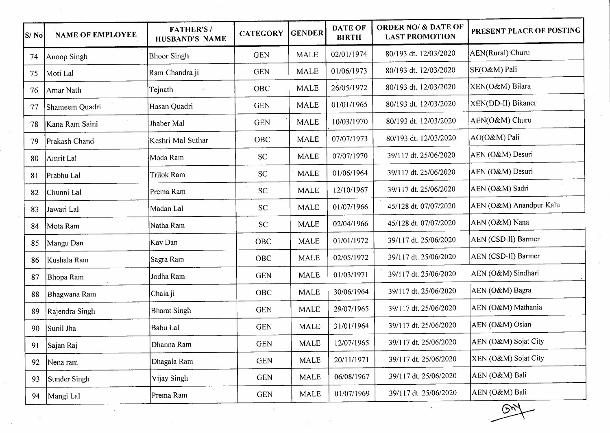| S/No | <b>NAME OF EMPLOYEE</b> | <b>FATHER'S/</b><br><b>HUSBAND'S NAME</b> | <b>CATEGORY</b> | <b>GENDER</b> | <b>DATE OF</b><br><b>BIRTH</b> | <b>ORDER NO/ &amp; DATE OF</b><br><b>LAST PROMOTION</b> | PRESENT PLACE OF POSTING |
|------|-------------------------|-------------------------------------------|-----------------|---------------|--------------------------------|---------------------------------------------------------|--------------------------|
| 74   | Anoop Singh             | <b>Bhoor Singh</b>                        | <b>GEN</b>      | <b>MALE</b>   | 02/01/1974                     | 80/193 dt. 12/03/2020                                   | AEN(Rural) Churu         |
| 75   | Moti Lal                | Ram Chandra ji                            | <b>GEN</b>      | <b>MALE</b>   | 01/06/1973                     | 80/193 dt. 12/03/2020                                   | SE(O&M) Pali             |
| 76   | Amar Nath               | Tejnath                                   | OBC             | <b>MALE</b>   | 26/05/1972                     | 80/193 dt. 12/03/2020                                   | XEN(O&M) Bilara          |
| 77   | Shameem Quadri          | Hasan Quadri                              | <b>GEN</b>      | <b>MALE</b>   | 01/01/1965                     | 80/193 dt. 12/03/2020                                   | XEN(DD-II) Bikaner       |
| 78   | Kana Ram Saini          | Jhaber Mal                                | <b>GEN</b>      | <b>MALE</b>   | 10/03/1970                     | 80/193 dt. 12/03/2020                                   | AEN(O&M) Churu           |
| 79   | Prakash Chand           | Keshri Mal Suthar                         | OBC             | <b>MALE</b>   | 07/07/1973                     | 80/193 dt. 12/03/2020                                   | AO(O&M) Pali             |
| 80   | Amrit Lal               | Moda Ram                                  | <b>SC</b>       | <b>MALE</b>   | 07/07/1970                     | 39/117 dt. 25/06/2020                                   | AEN (O&M) Desuri         |
| 81   | Prabhu Lal              | <b>Trilok Ram</b>                         | <b>SC</b>       | <b>MALE</b>   | 01/06/1964                     | 39/117 dt. 25/06/2020                                   | AEN (O&M) Desuri         |
| 82   | Chunni Lal              | Prema Ram                                 | <b>SC</b>       | <b>MALE</b>   | 12/10/1967                     | 39/117 dt. 25/06/2020                                   | AEN (O&M) Sadri          |
| 83   | Jawari Lal              | Madan Lal                                 | <b>SC</b>       | <b>MALE</b>   | 01/07/1966                     | 45/128 dt. 07/07/2020                                   | AEN (O&M) Anandpur Kalu  |
| 84   | Mota Ram                | Natha Ram                                 | <b>SC</b>       | <b>MALE</b>   | 02/04/1966                     | 45/128 dt. 07/07/2020                                   | AEN (O&M) Nana           |
| 85   | Mangu Dan               | Kav Dan                                   | <b>OBC</b>      | <b>MALE</b>   | 01/01/1972                     | 39/117 dt. 25/06/2020                                   | AEN (CSD-II) Barmer      |
| 86   | Kushala Ram             | Sagra Ram                                 | OBC             | <b>MALE</b>   | 02/05/1972                     | 39/117 dt. 25/06/2020                                   | AEN (CSD-II) Barmer      |
| 87   | Bhopa Ram               | Jodha Ram                                 | <b>GEN</b>      | MALE          | 01/03/1971                     | 39/117 dt. 25/06/2020                                   | AEN (O&M) Sindhari       |
| 88   | Bhagwana Ram            | Chala ji                                  | OBC             | <b>MALE</b>   | 30/06/1964                     | 39/117 dt. 25/06/2020                                   | AEN (O&M) Bagra          |
| 89   | Rajendra Singh          | <b>Bharat Singh</b>                       | <b>GEN</b>      | <b>MALE</b>   | 29/07/1965                     | 39/117 dt. 25/06/2020                                   | AEN (O&M) Mathania       |
| 90   | Sunil Jha               | <b>Babu Lal</b>                           | <b>GEN</b>      | <b>MALE</b>   | 31/01/1964                     | 39/117 dt. 25/06/2020                                   | AEN (O&M) Osian          |
| 91   | Sajan Raj               | Dhanna Ram                                | <b>GEN</b>      | <b>MALE</b>   | 12/07/1965                     | 39/117 dt. 25/06/2020                                   | AEN (O&M) Sojat City     |
| 92   | Nena ram                | Dhagala Ram                               | <b>GEN</b>      | MALE          | 20/11/1971                     | 39/117 dt. 25/06/2020                                   | XEN (O&M) Sojat City     |
| 93   | Sunder Singh            | Vijay Singh                               | <b>GEN</b>      | <b>MALE</b>   | 06/08/1967                     | 39/117 dt. 25/06/2020                                   | AEN (O&M) Bali           |
| 94   | Mangi Lal               | Prema Ram                                 | <b>GEN</b>      | MALE          | 01/07/1969                     | 39/117 dt. 25/06/2020                                   | AEN (O&M) Bali           |

 $\mathcal{L}$ 

 $94$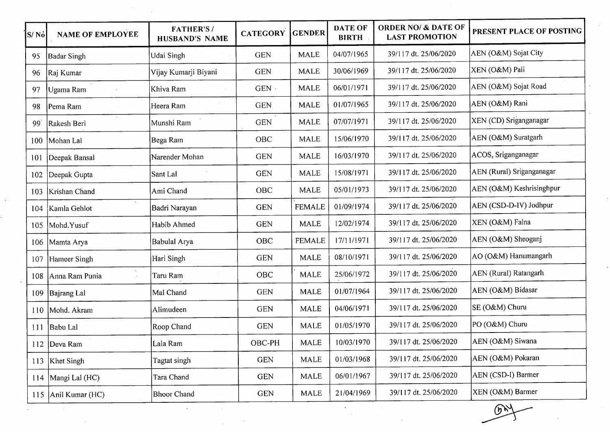| S/No | <b>NAME OF EMPLOYEE</b> | <b>FATHER'S/</b><br>HUSBAND'S NAME | <b>CATEGORY</b> | <b>GENDER</b> | <b>DATE OF</b><br><b>BIRTH</b> | <b>ORDER NO/ &amp; DATE OF</b><br><b>LAST PROMOTION</b> | PRESENT PLACE OF POSTING  |
|------|-------------------------|------------------------------------|-----------------|---------------|--------------------------------|---------------------------------------------------------|---------------------------|
| 95   | <b>Badar Singh</b>      | Udai Singh                         | <b>GEN</b>      | <b>MALE</b>   | 04/07/1965                     | 39/117 dt. 25/06/2020                                   | AEN (O&M) Sojat City      |
| 96   | Raj Kumar               | Vijay Kumarji Biyani               | <b>GEN</b>      | <b>MALE</b>   | 30/06/1969                     | 39/117 dt. 25/06/2020                                   | XEN (O&M) Pali            |
| 97   | Ugama Ram               | Khiva Ram                          | GEN ·           | <b>MALE</b>   | 06/01/1971                     | 39/117 dt. 25/06/2020                                   | AEN (O&M) Sojat Road      |
| 98   | Pema Ram                | Heera Ram                          | <b>GEN</b>      | <b>MALE</b>   | 01/07/1965                     | 39/117 dt. 25/06/2020                                   | AEN (O&M) Rani            |
| 99   | Rakesh Beri             | Munshi Ram                         | <b>GEN</b>      | <b>MALE</b>   | 07/07/1971                     | 39/117 dt. 25/06/2020                                   | XEN (CD) Sriganganagar    |
| 100  | Mohan Lal               | Bega Ram                           | OBC             | <b>MALE</b>   | 15/06/1970                     | 39/117 dt. 25/06/2020                                   | AEN (O&M) Suratgarh       |
| 101  | Deepak Bansal           | Narender Mohan                     | <b>GEN</b>      | <b>MALE</b>   | 16/03/1970                     | 39/117 dt. 25/06/2020                                   | ACOS, Sriganganagar       |
| 102  | Deepak Gupta            | Sant Lal                           | <b>GEN</b>      | <b>MALE</b>   | 15/08/1971                     | 39/117 dt. 25/06/2020                                   | AEN (Rural) Sriganganagar |
| 103  | Krishan Chand           | Ami Chand                          | OBC             | <b>MALE</b>   | 05/01/1973                     | 39/117 dt. 25/06/2020                                   | AEN (O&M) Keshrisinghpur  |
| 104  | Kamla Gehlot            | Badri Narayan                      | <b>GEN</b>      | <b>FEMALE</b> | 01/09/1974                     | 39/117 dt. 25/06/2020                                   | AEN (CSD-D-IV) Jodhpur    |
| 105  | Mohd.Yusuf              | Habib Ahmed                        | <b>GEN</b>      | <b>MALE</b>   | 12/02/1974                     | 39/117 dt. 25/06/2020                                   | XEN (O&M) Falna           |
| 106  | Mamta Arya              | Babulal Arya                       | OBC             | <b>FEMALE</b> | 17/11/1971                     | 39/117 dt. 25/06/2020                                   | AEN (O&M) Sheoganj        |
| 107  | Hameer Singh            | Hari Singh                         | <b>GEN</b>      | MALE          | 08/10/1971                     | 39/117 dt. 25/06/2020                                   | AO (O&M) Hanumangarh      |
| 108  | Anna Ram Punia          | Taru Ram                           | OBC             | <b>MALE</b>   | 25/06/1972                     | 39/117 dt. 25/06/2020                                   | AEN (Rural) Ratangarh     |
| 109  | Bajrang Lal             | Mal Chand                          | <b>GEN</b>      | <b>MALE</b>   | 01/07/1964                     | 39/117 dt. 25/06/2020                                   | AEN (O&M) Bidasar         |
| 110  | Mohd. Akram             | Alimudeen                          | <b>GEN</b>      | <b>MALE</b>   | 04/06/1971                     | 39/117 dt. 25/06/2020                                   | SE (O&M) Churu            |
| 111  | Babu Lal                | Roop Chand                         | <b>GEN</b>      | <b>MALE</b>   | 01/05/1970                     | 39/117 dt. 25/06/2020                                   | PO (O&M) Churu            |
|      | 112   Deva Ram          | Lala Ram                           | OBC-PH          | <b>MALE</b>   | 10/03/1970                     | 39/117 dt. 25/06/2020                                   | AEN (O&M) Siwana          |
|      | 113   Khet Singh        | Tagtat singh                       | <b>GEN</b>      | <b>MALE</b>   | 01/03/1968                     | 39/117 dt. 25/06/2020                                   | AEN (O&M) Pokaran         |
|      | 114   Mangi Lal (HC)    | Tara Chand                         | <b>GEN</b>      | <b>MALE</b>   | 06/01/1967                     | 39/117 dt. 25/06/2020                                   | AEN (CSD-I) Barmer        |
|      | 115 Anil Kumar (HC)     | <b>Bhoor Chand</b>                 | <b>GEN</b>      | <b>MALE</b>   | 21/04/1969                     | 39/117 dt. 25/06/2020                                   | XEN (O&M) Barmer          |
|      |                         |                                    |                 |               |                                |                                                         | (5)                       |

 $\sim$ 

 $\overline{\phantom{0}}$ 

 $\mathbb{S}^1$  . In particular, we have  $\mathbb{S}^1$ 

÷,

 $\sim$ 

 $\bar{z}$ 

42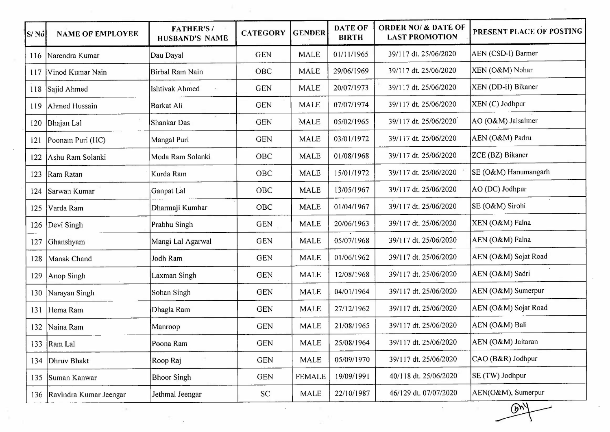| S/No | <b>NAME OF EMPLOYEE</b>    | <b>FATHER'S/</b><br><b>HUSBAND'S NAME</b> | <b>CATEGORY</b> | <b>GENDER</b> | <b>DATE OF</b><br><b>BIRTH</b> | <b>ORDER NO/ &amp; DATE OF</b><br><b>LAST PROMOTION</b> | PRESENT PLACE OF POSTING |
|------|----------------------------|-------------------------------------------|-----------------|---------------|--------------------------------|---------------------------------------------------------|--------------------------|
| 116  | Narendra Kumar             | Dau Dayal                                 | <b>GEN</b>      | <b>MALE</b>   | 01/11/1965                     | 39/117 dt. 25/06/2020                                   | AEN (CSD-I) Barmer       |
| 117  | Vinod Kumar Nain           | <b>Birbal Ram Nain</b>                    | OBC             | <b>MALE</b>   | 29/06/1969                     | 39/117 dt. 25/06/2020                                   | XEN (O&M) Nohar          |
| 118  | Sajid Ahmed                | Ishtivak Ahmed                            | <b>GEN</b>      | <b>MALE</b>   | 20/07/1973                     | 39/117 dt. 25/06/2020                                   | XEN (DD-II) Bikaner      |
| 119  | Ahmed Hussain              | Barkat Ali                                | <b>GEN</b>      | <b>MALE</b>   | 07/07/1974                     | 39/117 dt. 25/06/2020                                   | XEN (C) Jodhpur          |
| 120  | Bhajan Lal                 | $\bullet$<br>Shankar Das                  | <b>GEN</b>      | MALE          | 05/02/1965                     | 39/117 dt. 25/06/2020                                   | AO (O&M) Jaisalmer       |
| 121  | Poonam Puri (HC)           | Mangal Puri                               | <b>GEN</b>      | <b>MALE</b>   | 03/01/1972                     | 39/117 dt. 25/06/2020                                   | AEN (O&M) Padru          |
| 122  | Ashu Ram Solanki           | Moda Ram Solanki                          | OBC             | <b>MALE</b>   | 01/08/1968                     | 39/117 dt. 25/06/2020                                   | ZCE (BZ) Bikaner         |
| 123  | Ram Ratan                  | Kurda Ram                                 | OBC             | <b>MALE</b>   | 15/01/1972                     | 39/117 dt. 25/06/2020                                   | SE (O&M) Hanumangarh     |
| 124  | Sarwan Kumar               | Ganpat Lal                                | OBC             | <b>MALE</b>   | 13/05/1967                     | 39/117 dt. 25/06/2020                                   | AO (DC) Jodhpur          |
| 125  | Varda Ram                  | Dharmaji Kumhar                           | OBC             | <b>MALE</b>   | 01/04/1967                     | 39/117 dt. 25/06/2020                                   | SE (O&M) Sirohi          |
| 126  | Devi Singh                 | Prabhu Singh                              | <b>GEN</b>      | <b>MALE</b>   | 20/06/1963                     | 39/117 dt. 25/06/2020                                   | XEN (O&M) Falna          |
| 127  | Ghanshyam                  | Mangi Lal Agarwal                         | <b>GEN</b>      | <b>MALE</b>   | 05/07/1968                     | 39/117 dt. 25/06/2020                                   | AEN (O&M) Falna          |
| 128  | Manak Chand                | Jodh Ram                                  | <b>GEN</b>      | <b>MALE</b>   | 01/06/1962                     | 39/117 dt. 25/06/2020                                   | AEN (O&M) Sojat Road     |
| 129  | Anop Singh                 | Laxman Singh                              | <b>GEN</b>      | MALE          | 12/08/1968                     | 39/117 dt. 25/06/2020                                   | AEN (O&M) Sadri          |
| 130  | Narayan Singh              | Sohan Singh                               | <b>GEN</b>      | MALE          | 04/01/1964                     | 39/117 dt. 25/06/2020                                   | AEN (O&M) Sumerpur       |
| 131  | Hema Ram                   | Dhagla Ram                                | <b>GEN</b>      | <b>MALE</b>   | 27/12/1962                     | 39/117 dt. 25/06/2020                                   | AEN (O&M) Sojat Road     |
| 132  | Naina Ram                  | Manroop                                   | <b>GEN</b>      | MALE          | 21/08/1965                     | 39/117 dt. 25/06/2020                                   | AEN (O&M) Bali           |
|      | 133   Ram Lal              | Poona Ram                                 | <b>GEN</b>      | <b>MALE</b>   | 25/08/1964                     | 39/117 dt. 25/06/2020                                   | AEN (O&M) Jaitaran       |
| 134  | Dhruy Bhakt                | Roop Raj                                  | <b>GEN</b>      | MALE          | 05/09/1970                     | 39/117 dt. 25/06/2020                                   | CAO (B&R) Jodhpur        |
| 135  | Suman Kanwar               | <b>Bhoor Singh</b>                        | <b>GEN</b>      | <b>FEMALE</b> | 19/09/1991                     | 40/118 dt. 25/06/2020                                   | SE (TW) Jodhpur          |
|      | 136 Ravindra Kumar Jeengar | Jethmal Jeengar                           | <b>SC</b>       | <b>MALE</b>   | 22/10/1987                     | 46/129 dt. 07/07/2020                                   | AEN(O&M), Sumerpur       |

 $6y$